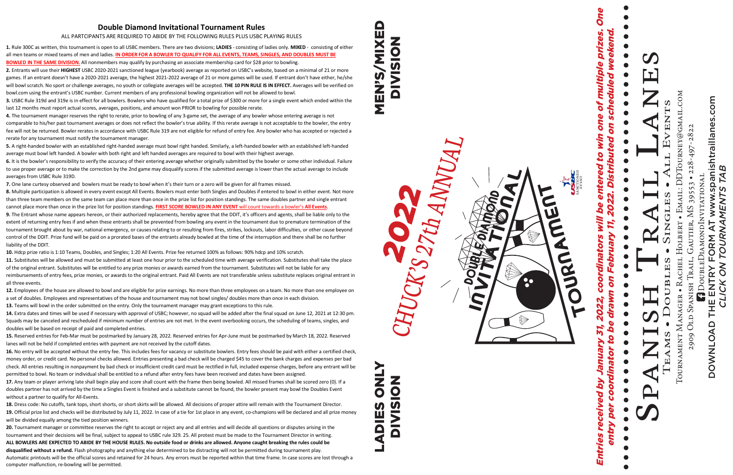MEN'S/MIXED

**SUNEN** 

**MIXED** 

DIVISION

**NOISINIQ** 

CHUCK'S 27th ANNUAL

Entries received by January 31, 2022, coordinators will be entered to win one of multiple prizes. One O entry per coordinator to be drawn on February 11, 2022. Distributed on scheduled weekend. eken ¢ ed S ð ator e<br>G ð S O O draw 2022. ¢ 37, Q O ato O Ğ eceived per

## SPANISH TRAIL LANES <u>T</u> DDTOURNEY@GMAIL.COM Tournament Manager • Rachel Holbert • Email: DDTourney@gmail.com panishtraillanes.com DOWNLOAD THE ENTRY FORM AT www.spanishtraillanes.com Teams • Doubles • Singles • All Events TNE  $228 - 497 - 2822$ 2909 Old Spanish Trail, Gautier, MS 39553 • 228-497-2822  $\mathbf{L}$  $\bullet$ **C** DOUBLEDIAMOND INVITATIONAL DoubleDiamondInvitational MS 39553 EMAIL: WWW.S GLE GAUTIER,  $\overline{A}$ HOLBERT FORM 2909 OLD SPANISH TRAIL,  $\infty$ · RACHEL  $\bf \widetilde{\bf k}$ LE **ILN<br>山** OUB MANAGER TΗE **OWNLOAD**  $\Omega$ **TOURNAMENT** N C  $\Box$



DOUBLE DIAMOND

INVITATION

♦

CLICK ON TOURNAMENTS TAB

TOURNA

S

CLICK

Ø **Z** 

**MENTS** 

#### **Double Diamond Invitational Tournament Rules**

ALL PARTCIPANTS ARE REQUIRED TO ABIDE BY THE FOLLOWING RULES PLUS USBC PLAYING RULES

**1.** Rule 300C as written, this tournament is open to all USBC members. There are two divisions; **LADIES** - consisting of ladies only. **MIXED** - consisting of either all men teams or mixed teams of men and ladies. **IN ORDER FOR A BOWLER TO QUALIFY FOR ALL EVENTS, TEAMS, SINGLES, AND DOUBLES MUST BE** 

**BOWLED IN THE SAME DIVISION.** All nonmembers may qualify by purchasing an associate membership card for \$28 prior to bowling.

**2.** Entrants will use their **HIGHEST** USBC 2020-2021 sanctioned league (yearbook) average as reported on USBC's website, based on a minimal of 21 or more games. If an entrant doesn't have a 2020-2021 average, the highest 2021-2022 average of 21 or more games will be used. If entrant don't have either, he/she will bowl scratch. No sport or challenge averages, no youth or collegiate averages will be accepted. **THE 10 PIN RULE IS IN EFFECT.** Averages will be verified on bowl.com using the entrant's USBC number. Current members of any professional bowling organization will not be allowed to bowl.

**3.** USBC Rule 319d and 319e is in effect for all bowlers. Bowlers who have qualified for a total prize of \$300 or more for a single event which ended within the last 12 months must report actual scores, averages, positions, and amount won PRIOR to bowling for possible rerate.

**4.** The tournament manager reserves the right to rerate, prior to bowling of any 3-game set, the average of any bowler whose entering average is not comparable to his/her past tournament averages or does not reflect the bowler's true ability. If this rerate average is not acceptable to the bowler, the entry fee will not be returned. Bowler rerates in accordance with USBC Rule 319 are not eligible for refund of entry fee. Any bowler who has accepted or rejected a rerate for any tournament must notify the tournament manager.

**5.** A right-handed bowler with an established right-handed average must bowl right handed. Similarly, a left-handed bowler with an established left-handed average must bowl left handed. A bowler with both right and left handed averages are required to bowl with their highest average.

**6.** It is the bowler's responsibility to verify the accuracy of their entering average whether originally submitted by the bowler or some other individual. Failure to use proper average or to make the correction by the 2nd game may disqualify scores if the submitted average is lower than the actual average to include averages from USBC Rule 319D.

**7.** One lane curtesy observed and bowlers must be ready to bowl when it's their turn or a zero will be given for all frames missed.

**8.** Multiple participation is allowed in every event except All Events. Bowlers must enter both Singles and Doubles if entered to bowl in either event. Not more than three team members on the same team can place more than once in the prize list for position standings. The same doubles partner and single entrant cannot place more than once in the prize list for position standings. **FIRST SCORE BOWLED IN ANY EVENT** will count towards a bowler's **All Events**.

**9.** The Entrant whose name appears hereon, or their authorized replacements, hereby agree that the DDIT, it's officers and agents, shall be liable only to the extent of returning entry fees if and when these entrants shall be prevented from bowling any event in the tournament due to premature termination of the tournament brought about by war, national emergency, or causes relating to or resulting from fires, strikes, lockouts, labor difficulties, or other cause beyond control of the DDIT. Prize fund will be paid on a prorated bases of the entrants already bowled at the time of the interruption and there shall be no further liability of the DDIT.

**10.** Hdcp prize ratio is 1:10 Teams, Doubles, and Singles; 1:20 All Events. Prize fee returned 100% as follows: 90% hdcp and 10% scratch.

**11.** Substitutes will be allowed and must be submitted at least one hour prior to the scheduled time with average verification. Substitutes shall take the place of the original entrant. Substitutes will be entitled to any prize monies or awards earned from the tournament. Substitutes will not be liable for any reimbursements of entry fees, prize monies, or awards to the original entrant. Paid All Events are not transferable unless substitute replaces original entrant in all three events.

**12.** Employees of the house are allowed to bowl and are eligible for prize earnings. No more than three employees on a team. No more than one employee on a set of doubles. Employees and representatives of the house and tournament may not bowl singles/ doubles more than once in each division.

**13.** Teams will bowl in the order submitted on the entry. Only the tournament manager may grant exceptions to this rule.

**14.** Extra dates and times will be used if necessary with approval of USBC; however, no squad will be added after the final squad on June 12, 2021 at 12:30 pm. Squads may be canceled and rescheduled if minimum number of entries are not met. In the event overbooking occurs, the scheduling of teams, singles, and doubles will be based on receipt of paid and completed entries.

**15.** Reserved entries for Feb-Mar must be postmarked by January 28, 2022. Reserved entries for Apr-June must be postmarked by March 18, 2022. Reserved lanes will not be held if completed entries with payment are not received by the cutoff dates.

**16.** No entry will be accepted without the entry fee. This includes fees for vacancy or substitute bowlers. Entry fees should be paid with either a certified check, money order, or credit card. No personal checks allowed. Entries presenting a bad check will be charged \$45 to cover the bank charges and expenses per bad check. All entries resulting in nonpayment by bad check or insufficient credit card must be rectified in full, included expense charges, before any entrant will be permitted to bowl. No team or individual shall be entitled to a refund after entry fees have been received and dates have been assigned.

**17.** Any team or player arriving late shall begin play and score shall count with the frame then being bowled. All missed frames shall be scored zero (0). If a doubles partner has not arrived by the time a Singles Event is finished and a substitute cannot be found, the bowler present may bowl the Doubles Event without a partner to qualify for All-Events.

**18.** Dress code: No cutoffs, tank tops, short shorts, or short skirts will be allowed. All decisions of proper attire will remain with the Tournament Director. **19.** Official prize list and checks will be distributed by July 11, 2022. In case of a tie for 1st place in any event, co-champions will be declared and all prize money will be divided equally among the tied position winners.

**20.** Tournament manager or committee reserves the right to accept or reject any and all entries and will decide all questions or disputes arising in the tournament and their decisions will be final, subject to appeal to USBC rule 329. 25. All protest must be made to the Tournament Director in writing. **ALL BOWLERS ARE EXPECTED TO ABIDE BY THE HOUSE RULES. No outside food or drinks are allowed. Anyone caught breaking the rules could be disqualified without a refund.** Flash photography and anything else determined to be distracting will not be permitted during tournament play. Automatic printouts will be the official scores and retained for 24 hours. Any errors must be reported within that time frame. In case scores are lost through a computer malfunction, re-bowling will be permitted.

LADIES ONLY **NHNO ZO** DIVISION DIVISI **ADIES**